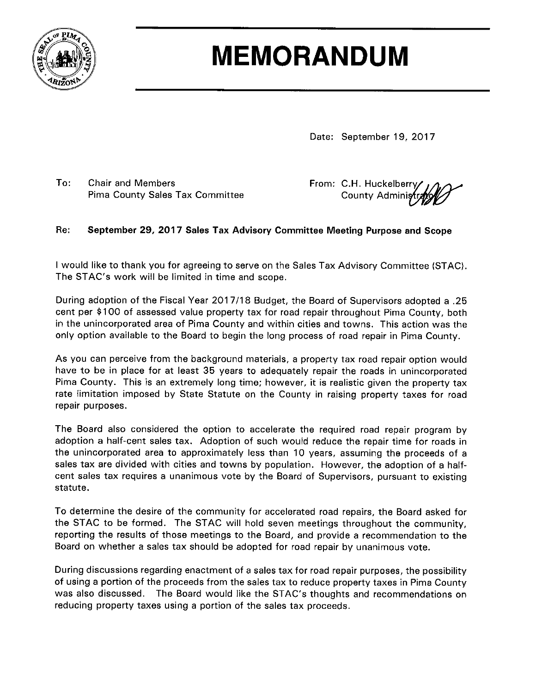

# **MEMORANDUM**

Date: September 19, 2017

 $To:$ **Chair and Members** Pima County Sales Tax Committee From: C.H. Huckelberry County Adminis

#### Re: September 29, 2017 Sales Tax Advisory Committee Meeting Purpose and Scope

I would like to thank you for agreeing to serve on the Sales Tax Advisory Committee (STAC). The STAC's work will be limited in time and scope.

During adoption of the Fiscal Year 2017/18 Budget, the Board of Supervisors adopted a .25 cent per \$100 of assessed value property tax for road repair throughout Pima County, both in the unincorporated area of Pima County and within cities and towns. This action was the only option available to the Board to begin the long process of road repair in Pima County.

As you can perceive from the background materials, a property tax road repair option would have to be in place for at least 35 years to adequately repair the roads in unincorporated Pima County. This is an extremely long time; however, it is realistic given the property tax rate limitation imposed by State Statute on the County in raising property taxes for road repair purposes.

The Board also considered the option to accelerate the required road repair program by adoption a half-cent sales tax. Adoption of such would reduce the repair time for roads in the unincorporated area to approximately less than 10 years, assuming the proceeds of a sales tax are divided with cities and towns by population. However, the adoption of a halfcent sales tax requires a unanimous vote by the Board of Supervisors, pursuant to existing statute.

To determine the desire of the community for accelerated road repairs, the Board asked for the STAC to be formed. The STAC will hold seven meetings throughout the community, reporting the results of those meetings to the Board, and provide a recommendation to the Board on whether a sales tax should be adopted for road repair by unanimous vote.

During discussions regarding enactment of a sales tax for road repair purposes, the possibility of using a portion of the proceeds from the sales tax to reduce property taxes in Pima County was also discussed. The Board would like the STAC's thoughts and recommendations on reducing property taxes using a portion of the sales tax proceeds.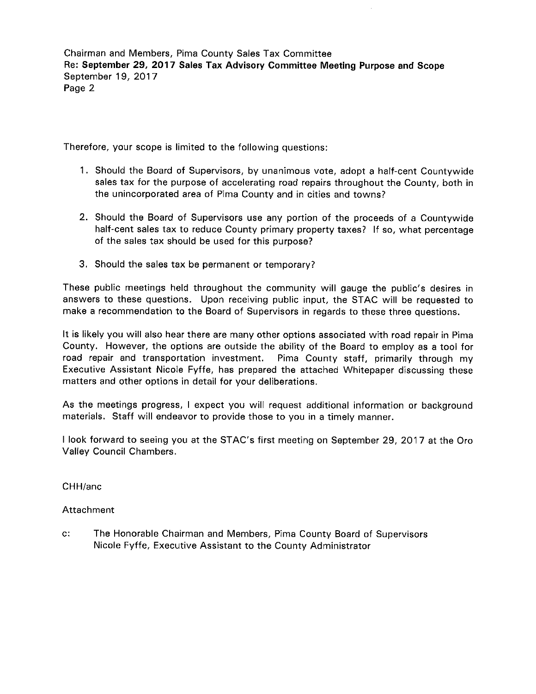Chairman and Members, Pima County Sales Tax Committee Re: September 29, 2017 Sales Tax Advisory Committee Meeting Purpose and Scope September 19, 2017 Page 2

Therefore, your scope is limited to the following questions:

- 1. Should the Board of Supervisors, by unanimous vote, adopt a half-cent Countywide sales tax for the purpose of accelerating road repairs throughout the County, both in the unincorporated area of Pima County and in cities and towns?
- 2. Should the Board of Supervisors use any portion of the proceeds of a Countywide half-cent sales tax to reduce County primary property taxes? If so, what percentage of the sales tax should be used for this purpose?
- 3. Should the sales tax be permanent or temporary?

These public meetings held throughout the community will gauge the public's desires in answers to these questions. Upon receiving public input, the STAC will be requested to make a recommendation to the Board of Supervisors in regards to these three questions.

It is likely you will also hear there are many other options associated with road repair in Pima County. However, the options are outside the ability of the Board to employ as a tool for road repair and transportation investment. Pima County staff, primarily through my Executive Assistant Nicole Fyffe, has prepared the attached Whitepaper discussing these matters and other options in detail for your deliberations.

As the meetings progress, I expect you will request additional information or background materials. Staff will endeavor to provide those to you in a timely manner.

I look forward to seeing you at the STAC's first meeting on September 29, 2017 at the Oro Valley Council Chambers.

CHH/anc

#### Attachment

 $C$ : The Honorable Chairman and Members, Pima County Board of Supervisors Nicole Fyffe, Executive Assistant to the County Administrator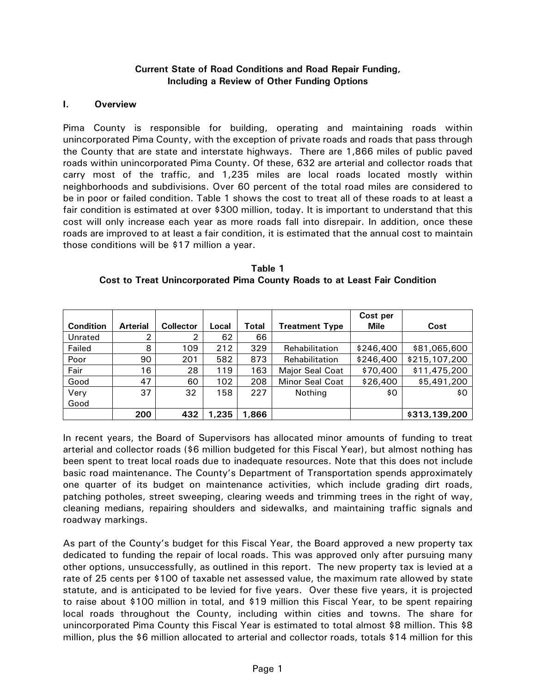#### **Current State of Road Conditions and Road Repair Funding, Including a Review of Other Funding Options**

#### **I. Overview**

Pima County is responsible for building, operating and maintaining roads within unincorporated Pima County, with the exception of private roads and roads that pass through the County that are state and interstate highways. There are 1,866 miles of public paved roads within unincorporated Pima County. Of these, 632 are arterial and collector roads that carry most of the traffic, and 1,235 miles are local roads located mostly within neighborhoods and subdivisions. Over 60 percent of the total road miles are considered to be in poor or failed condition. Table 1 shows the cost to treat all of these roads to at least a fair condition is estimated at over \$300 million, today. It is important to understand that this cost will only increase each year as more roads fall into disrepair. In addition, once these roads are improved to at least a fair condition, it is estimated that the annual cost to maintain those conditions will be \$17 million a year.

| Table 1                                                                   |
|---------------------------------------------------------------------------|
| Cost to Treat Unincorporated Pima County Roads to at Least Fair Condition |

|                  |                 |                  |       |       |                        | Cost per    |               |
|------------------|-----------------|------------------|-------|-------|------------------------|-------------|---------------|
| <b>Condition</b> | <b>Arterial</b> | <b>Collector</b> | Local | Total | <b>Treatment Type</b>  | <b>Mile</b> | Cost          |
| Unrated          | ົ               | 2                | 62    | 66    |                        |             |               |
| Failed           | 8               | 109              | 212   | 329   | Rehabilitation         | \$246,400   | \$81,065,600  |
| Poor             | 90              | 201              | 582   | 873   | Rehabilitation         | \$246,400   | \$215,107,200 |
| Fair             | 16              | 28               | 119   | 163   | Major Seal Coat        | \$70,400    | \$11,475,200  |
| Good             | 47              | 60               | 102   | 208   | <b>Minor Seal Coat</b> | \$26,400    | \$5,491,200   |
| Very             | 37              | 32               | 158   | 227   | Nothing                | \$0         | \$0           |
| Good             |                 |                  |       |       |                        |             |               |
|                  | 200             | 432              | 1,235 | 1,866 |                        |             | \$313,139,200 |

In recent years, the Board of Supervisors has allocated minor amounts of funding to treat arterial and collector roads (\$6 million budgeted for this Fiscal Year), but almost nothing has been spent to treat local roads due to inadequate resources. Note that this does not include basic road maintenance. The County's Department of Transportation spends approximately one quarter of its budget on maintenance activities, which include grading dirt roads, patching potholes, street sweeping, clearing weeds and trimming trees in the right of way, cleaning medians, repairing shoulders and sidewalks, and maintaining traffic signals and roadway markings.

As part of the County's budget for this Fiscal Year, the Board approved a new property tax dedicated to funding the repair of local roads. This was approved only after pursuing many other options, unsuccessfully, as outlined in this report. The new property tax is levied at a rate of 25 cents per \$100 of taxable net assessed value, the maximum rate allowed by state statute, and is anticipated to be levied for five years. Over these five years, it is projected to raise about \$100 million in total, and \$19 million this Fiscal Year, to be spent repairing local roads throughout the County, including within cities and towns. The share for unincorporated Pima County this Fiscal Year is estimated to total almost \$8 million. This \$8 million, plus the \$6 million allocated to arterial and collector roads, totals \$14 million for this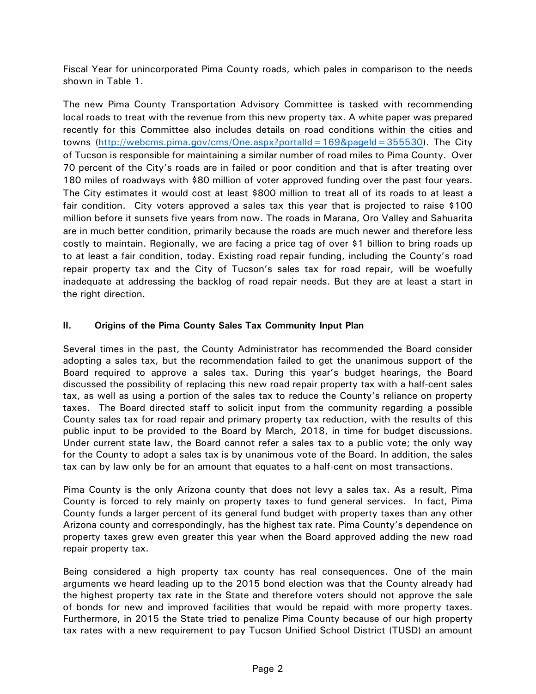Fiscal Year for unincorporated Pima County roads, which pales in comparison to the needs shown in Table 1.

The new Pima County Transportation Advisory Committee is tasked with recommending local roads to treat with the revenue from this new property tax. A white paper was prepared recently for this Committee also includes details on road conditions within the cities and towns [\(http://webcms.pima.gov/cms/One.aspx?portalId=169&pageId=355530\)](http://webcms.pima.gov/cms/One.aspx?portalId=169&pageId=355530). The City of Tucson is responsible for maintaining a similar number of road miles to Pima County. Over 70 percent of the City's roads are in failed or poor condition and that is after treating over 180 miles of roadways with \$80 million of voter approved funding over the past four years. The City estimates it would cost at least \$800 million to treat all of its roads to at least a fair condition. City voters approved a sales tax this year that is projected to raise \$100 million before it sunsets five years from now. The roads in Marana, Oro Valley and Sahuarita are in much better condition, primarily because the roads are much newer and therefore less costly to maintain. Regionally, we are facing a price tag of over \$1 billion to bring roads up to at least a fair condition, today. Existing road repair funding, including the County's road repair property tax and the City of Tucson's sales tax for road repair, will be woefully inadequate at addressing the backlog of road repair needs. But they are at least a start in the right direction.

# **II. Origins of the Pima County Sales Tax Community Input Plan**

Several times in the past, the County Administrator has recommended the Board consider adopting a sales tax, but the recommendation failed to get the unanimous support of the Board required to approve a sales tax. During this year's budget hearings, the Board discussed the possibility of replacing this new road repair property tax with a half-cent sales tax, as well as using a portion of the sales tax to reduce the County's reliance on property taxes. The Board directed staff to solicit input from the community regarding a possible County sales tax for road repair and primary property tax reduction, with the results of this public input to be provided to the Board by March, 2018, in time for budget discussions. Under current state law, the Board cannot refer a sales tax to a public vote; the only way for the County to adopt a sales tax is by unanimous vote of the Board. In addition, the sales tax can by law only be for an amount that equates to a half-cent on most transactions.

Pima County is the only Arizona county that does not levy a sales tax. As a result, Pima County is forced to rely mainly on property taxes to fund general services. In fact, Pima County funds a larger percent of its general fund budget with property taxes than any other Arizona county and correspondingly, has the highest tax rate. Pima County's dependence on property taxes grew even greater this year when the Board approved adding the new road repair property tax.

Being considered a high property tax county has real consequences. One of the main arguments we heard leading up to the 2015 bond election was that the County already had the highest property tax rate in the State and therefore voters should not approve the sale of bonds for new and improved facilities that would be repaid with more property taxes. Furthermore, in 2015 the State tried to penalize Pima County because of our high property tax rates with a new requirement to pay Tucson Unified School District (TUSD) an amount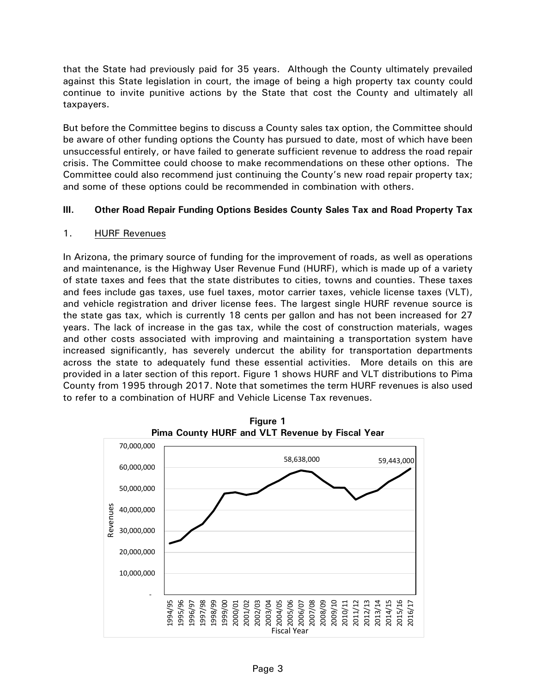that the State had previously paid for 35 years. Although the County ultimately prevailed against this State legislation in court, the image of being a high property tax county could continue to invite punitive actions by the State that cost the County and ultimately all taxpayers.

But before the Committee begins to discuss a County sales tax option, the Committee should be aware of other funding options the County has pursued to date, most of which have been unsuccessful entirely, or have failed to generate sufficient revenue to address the road repair crisis. The Committee could choose to make recommendations on these other options. The Committee could also recommend just continuing the County's new road repair property tax; and some of these options could be recommended in combination with others.

# **III. Other Road Repair Funding Options Besides County Sales Tax and Road Property Tax**

# 1. HURF Revenues

In Arizona, the primary source of funding for the improvement of roads, as well as operations and maintenance, is the Highway User Revenue Fund (HURF), which is made up of a variety of state taxes and fees that the state distributes to cities, towns and counties. These taxes and fees include gas taxes, use fuel taxes, motor carrier taxes, vehicle license taxes (VLT), and vehicle registration and driver license fees. The largest single HURF revenue source is the state gas tax, which is currently 18 cents per gallon and has not been increased for 27 years. The lack of increase in the gas tax, while the cost of construction materials, wages and other costs associated with improving and maintaining a transportation system have increased significantly, has severely undercut the ability for transportation departments across the state to adequately fund these essential activities. More details on this are provided in a later section of this report. Figure 1 shows HURF and VLT distributions to Pima County from 1995 through 2017. Note that sometimes the term HURF revenues is also used to refer to a combination of HURF and Vehicle License Tax revenues.



**Figure 1**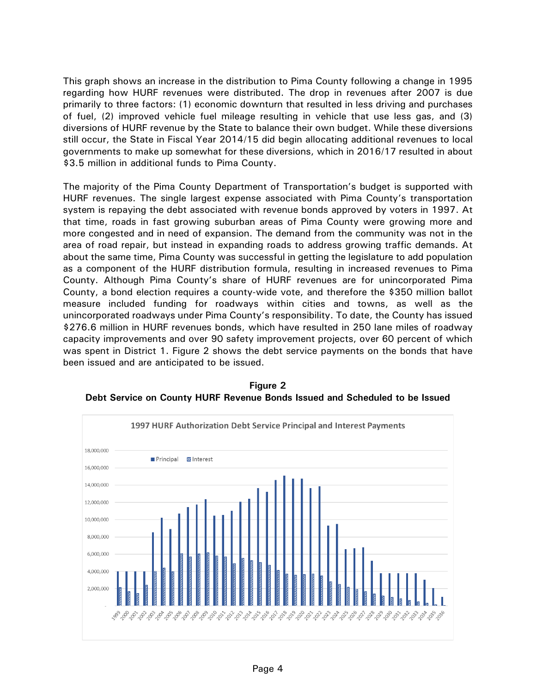This graph shows an increase in the distribution to Pima County following a change in 1995 regarding how HURF revenues were distributed. The drop in revenues after 2007 is due primarily to three factors: (1) economic downturn that resulted in less driving and purchases of fuel, (2) improved vehicle fuel mileage resulting in vehicle that use less gas, and (3) diversions of HURF revenue by the State to balance their own budget. While these diversions still occur, the State in Fiscal Year 2014/15 did begin allocating additional revenues to local governments to make up somewhat for these diversions, which in 2016/17 resulted in about \$3.5 million in additional funds to Pima County.

The majority of the Pima County Department of Transportation's budget is supported with HURF revenues. The single largest expense associated with Pima County's transportation system is repaying the debt associated with revenue bonds approved by voters in 1997. At that time, roads in fast growing suburban areas of Pima County were growing more and more congested and in need of expansion. The demand from the community was not in the area of road repair, but instead in expanding roads to address growing traffic demands. At about the same time, Pima County was successful in getting the legislature to add population as a component of the HURF distribution formula, resulting in increased revenues to Pima County. Although Pima County's share of HURF revenues are for unincorporated Pima County, a bond election requires a county-wide vote, and therefore the \$350 million ballot measure included funding for roadways within cities and towns, as well as the unincorporated roadways under Pima County's responsibility. To date, the County has issued \$276.6 million in HURF revenues bonds, which have resulted in 250 lane miles of roadway capacity improvements and over 90 safety improvement projects, over 60 percent of which was spent in District 1. Figure 2 shows the debt service payments on the bonds that have been issued and are anticipated to be issued.



**Figure 2 Debt Service on County HURF Revenue Bonds Issued and Scheduled to be Issued**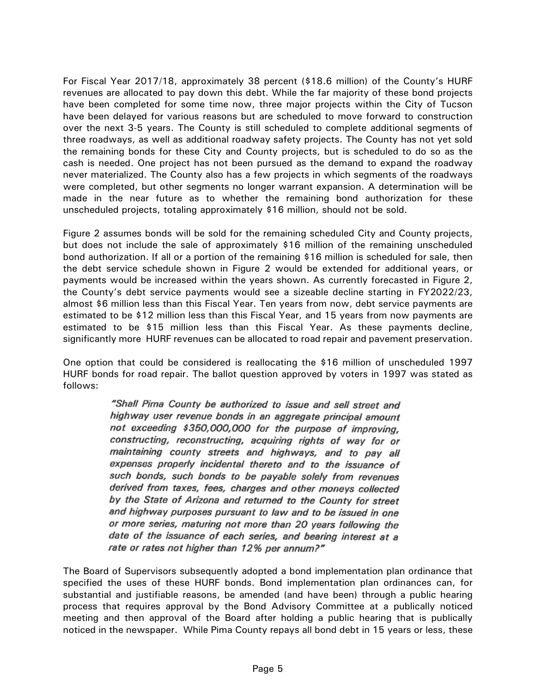For Fiscal Year 2017/18, approximately 38 percent (\$18.6 million) of the County's HURF revenues are allocated to pay down this debt. While the far majority of these bond projects have been completed for some time now, three major projects within the City of Tucson have been delayed for various reasons but are scheduled to move forward to construction over the next 3-5 years. The County is still scheduled to complete additional segments of three roadways, as well as additional roadway safety projects. The County has not yet sold the remaining bonds for these City and County projects, but is scheduled to do so as the cash is needed. One project has not been pursued as the demand to expand the roadway never materialized. The County also has a few projects in which segments of the roadways were completed, but other segments no longer warrant expansion. A determination will be made in the near future as to whether the remaining bond authorization for these unscheduled projects, totaling approximately \$16 million, should not be sold.

Figure 2 assumes bonds will be sold for the remaining scheduled City and County projects, but does not include the sale of approximately \$16 million of the remaining unscheduled bond authorization. If all or a portion of the remaining \$16 million is scheduled for sale, then the debt service schedule shown in Figure 2 would be extended for additional years, or payments would be increased within the years shown. As currently forecasted in Figure 2, the County's debt service payments would see a sizeable decline starting in FY2022/23, almost \$6 million less than this Fiscal Year. Ten years from now, debt service payments are estimated to be \$12 million less than this Fiscal Year, and 15 years from now payments are estimated to be \$15 million less than this Fiscal Year. As these payments decline, significantly more HURF revenues can be allocated to road repair and pavement preservation.

One option that could be considered is reallocating the \$16 million of unscheduled 1997 HURF bonds for road repair. The ballot question approved by voters in 1997 was stated as follows:

> "Shall Pima County be authorized to issue and sell street and highway user revenue bonds in an aggregate principal amount not exceeding \$350,000,000 for the purpose of improving, constructing, reconstructing, acquiring rights of way for or maintaining county streets and highways, and to pay all expenses properly incidental thereto and to the issuance of such bonds, such bonds to be payable solely from revenues derived from taxes, fees, charges and other moneys collected by the State of Arizona and returned to the County for street and highway purposes pursuant to law and to be issued in one or more series, maturing not more than 20 years following the date of the issuance of each series, and bearing interest at a rate or rates not higher than 12% per annum?"

The Board of Supervisors subsequently adopted a bond implementation plan ordinance that specified the uses of these HURF bonds. Bond implementation plan ordinances can, for substantial and justifiable reasons, be amended (and have been) through a public hearing process that requires approval by the Bond Advisory Committee at a publically noticed meeting and then approval of the Board after holding a public hearing that is publically noticed in the newspaper. While Pima County repays all bond debt in 15 years or less, these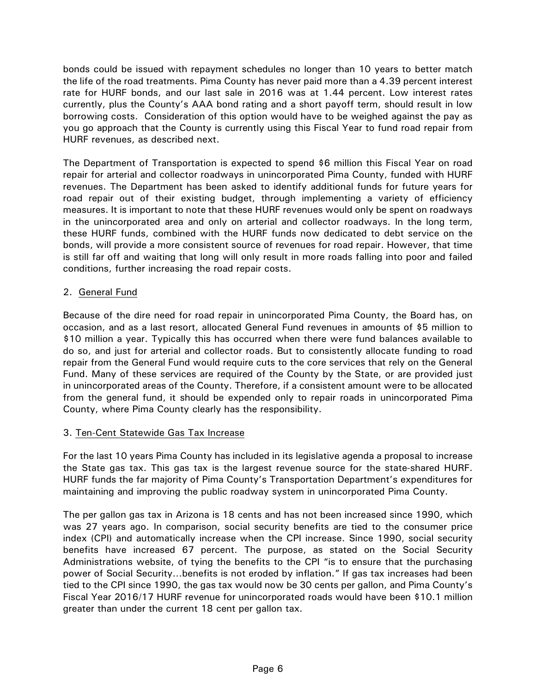bonds could be issued with repayment schedules no longer than 10 years to better match the life of the road treatments. Pima County has never paid more than a 4.39 percent interest rate for HURF bonds, and our last sale in 2016 was at 1.44 percent. Low interest rates currently, plus the County's AAA bond rating and a short payoff term, should result in low borrowing costs. Consideration of this option would have to be weighed against the pay as you go approach that the County is currently using this Fiscal Year to fund road repair from HURF revenues, as described next.

The Department of Transportation is expected to spend \$6 million this Fiscal Year on road repair for arterial and collector roadways in unincorporated Pima County, funded with HURF revenues. The Department has been asked to identify additional funds for future years for road repair out of their existing budget, through implementing a variety of efficiency measures. It is important to note that these HURF revenues would only be spent on roadways in the unincorporated area and only on arterial and collector roadways. In the long term, these HURF funds, combined with the HURF funds now dedicated to debt service on the bonds, will provide a more consistent source of revenues for road repair. However, that time is still far off and waiting that long will only result in more roads falling into poor and failed conditions, further increasing the road repair costs.

# 2. General Fund

Because of the dire need for road repair in unincorporated Pima County, the Board has, on occasion, and as a last resort, allocated General Fund revenues in amounts of \$5 million to \$10 million a year. Typically this has occurred when there were fund balances available to do so, and just for arterial and collector roads. But to consistently allocate funding to road repair from the General Fund would require cuts to the core services that rely on the General Fund. Many of these services are required of the County by the State, or are provided just in unincorporated areas of the County. Therefore, if a consistent amount were to be allocated from the general fund, it should be expended only to repair roads in unincorporated Pima County, where Pima County clearly has the responsibility.

# 3. Ten-Cent Statewide Gas Tax Increase

For the last 10 years Pima County has included in its legislative agenda a proposal to increase the State gas tax. This gas tax is the largest revenue source for the state-shared HURF. HURF funds the far majority of Pima County's Transportation Department's expenditures for maintaining and improving the public roadway system in unincorporated Pima County.

The per gallon gas tax in Arizona is 18 cents and has not been increased since 1990, which was 27 years ago. In comparison, social security benefits are tied to the consumer price index (CPI) and automatically increase when the CPI increase. Since 1990, social security benefits have increased 67 percent. The purpose, as stated on the Social Security Administrations website, of tying the benefits to the CPI "is to ensure that the purchasing power of Social Security…benefits is not eroded by inflation." If gas tax increases had been tied to the CPI since 1990, the gas tax would now be 30 cents per gallon, and Pima County's Fiscal Year 2016/17 HURF revenue for unincorporated roads would have been \$10.1 million greater than under the current 18 cent per gallon tax.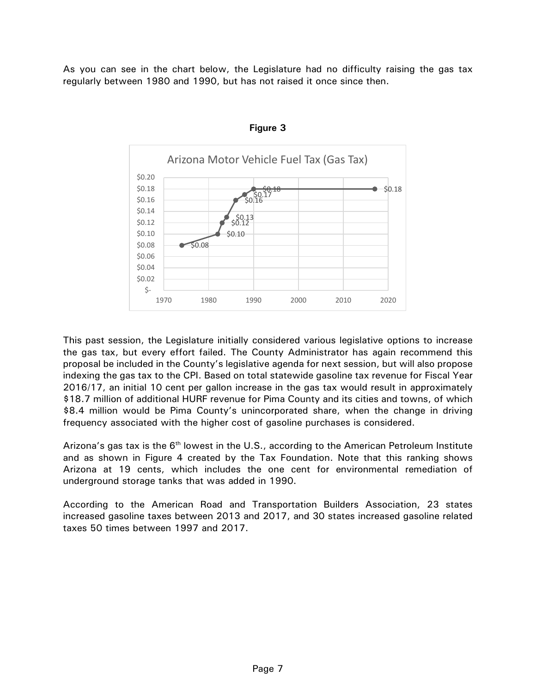As you can see in the chart below, the Legislature had no difficulty raising the gas tax regularly between 1980 and 1990, but has not raised it once since then.





This past session, the Legislature initially considered various legislative options to increase the gas tax, but every effort failed. The County Administrator has again recommend this proposal be included in the County's legislative agenda for next session, but will also propose indexing the gas tax to the CPI. Based on total statewide gasoline tax revenue for Fiscal Year 2016/17, an initial 10 cent per gallon increase in the gas tax would result in approximately \$18.7 million of additional HURF revenue for Pima County and its cities and towns, of which \$8.4 million would be Pima County's unincorporated share, when the change in driving frequency associated with the higher cost of gasoline purchases is considered.

Arizona's gas tax is the 6<sup>th</sup> lowest in the U.S., according to the American Petroleum Institute and as shown in Figure 4 created by the Tax Foundation. Note that this ranking shows Arizona at 19 cents, which includes the one cent for environmental remediation of underground storage tanks that was added in 1990.

According to the American Road and Transportation Builders Association, 23 states increased gasoline taxes between 2013 and 2017, and 30 states increased gasoline related taxes 50 times between 1997 and 2017.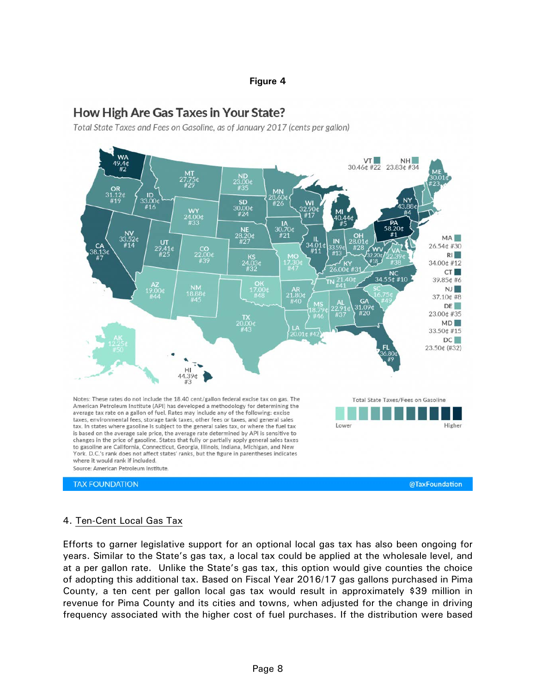#### **Figure 4**

# **How High Are Gas Taxes in Your State?**

Total State Taxes and Fees on Gasoline, as of January 2017 (cents per gallon)



#### 4. Ten-Cent Local Gas Tax

Efforts to garner legislative support for an optional local gas tax has also been ongoing for years. Similar to the State's gas tax, a local tax could be applied at the wholesale level, and at a per gallon rate. Unlike the State's gas tax, this option would give counties the choice of adopting this additional tax. Based on Fiscal Year 2016/17 gas gallons purchased in Pima County, a ten cent per gallon local gas tax would result in approximately \$39 million in revenue for Pima County and its cities and towns, when adjusted for the change in driving frequency associated with the higher cost of fuel purchases. If the distribution were based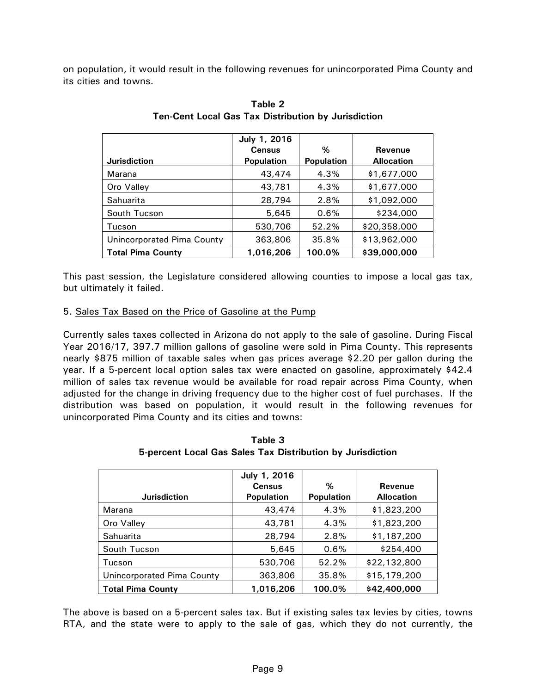on population, it would result in the following revenues for unincorporated Pima County and its cities and towns.

|                            | July 1, 2016      |                   |                   |
|----------------------------|-------------------|-------------------|-------------------|
|                            | <b>Census</b>     | %                 | Revenue           |
| <b>Jurisdiction</b>        | <b>Population</b> | <b>Population</b> | <b>Allocation</b> |
| Marana                     | 43,474            | 4.3%              | \$1,677,000       |
| Oro Valley                 | 43,781            | 4.3%              | \$1,677,000       |
| Sahuarita                  | 28,794            | 2.8%              | \$1,092,000       |
| South Tucson               | 5,645             | 0.6%              | \$234,000         |
| Tucson                     | 530,706           | 52.2%             | \$20,358,000      |
| Unincorporated Pima County | 363,806           | 35.8%             | \$13,962,000      |
| <b>Total Pima County</b>   | 1,016,206         | 100.0%            | \$39,000,000      |

| Table 2                                                    |  |  |  |  |  |  |
|------------------------------------------------------------|--|--|--|--|--|--|
| <b>Ten-Cent Local Gas Tax Distribution by Jurisdiction</b> |  |  |  |  |  |  |

This past session, the Legislature considered allowing counties to impose a local gas tax, but ultimately it failed.

#### 5. Sales Tax Based on the Price of Gasoline at the Pump

Currently sales taxes collected in Arizona do not apply to the sale of gasoline. During Fiscal Year 2016/17, 397.7 million gallons of gasoline were sold in Pima County. This represents nearly \$875 million of taxable sales when gas prices average \$2.20 per gallon during the year. If a 5-percent local option sales tax were enacted on gasoline, approximately \$42.4 million of sales tax revenue would be available for road repair across Pima County, when adjusted for the change in driving frequency due to the higher cost of fuel purchases. If the distribution was based on population, it would result in the following revenues for unincorporated Pima County and its cities and towns:

| <b>Jurisdiction</b>        | July 1, 2016<br><b>Census</b><br><b>Population</b> | %<br><b>Population</b> | <b>Revenue</b><br><b>Allocation</b> |
|----------------------------|----------------------------------------------------|------------------------|-------------------------------------|
| Marana                     | 43,474                                             | 4.3%                   | \$1,823,200                         |
| Oro Valley                 | 43,781                                             | 4.3%                   | \$1,823,200                         |
| Sahuarita                  | 28,794                                             | 2.8%                   | \$1,187,200                         |
| South Tucson               | 5,645                                              | 0.6%                   | \$254,400                           |
| Tucson                     | 530,706                                            | 52.2%                  | \$22,132,800                        |
| Unincorporated Pima County | 363,806                                            | 35.8%                  | \$15,179,200                        |
| <b>Total Pima County</b>   | 1.016.206                                          | 100.0%                 | \$42,400,000                        |

**Table 3 5-percent Local Gas Sales Tax Distribution by Jurisdiction**

The above is based on a 5-percent sales tax. But if existing sales tax levies by cities, towns RTA, and the state were to apply to the sale of gas, which they do not currently, the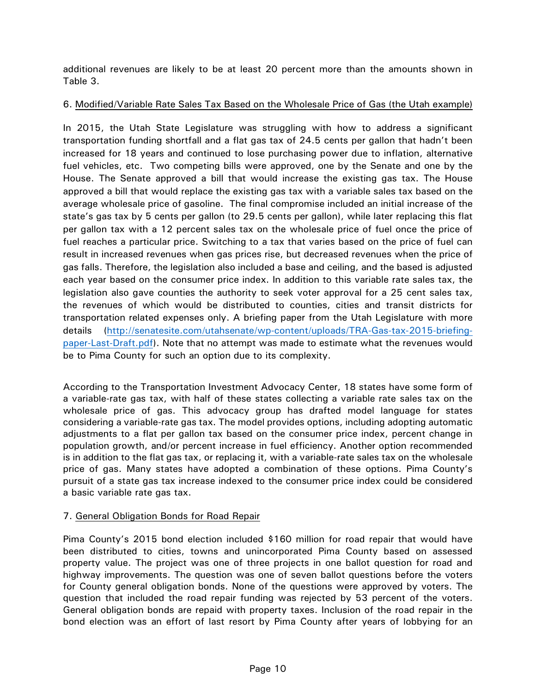additional revenues are likely to be at least 20 percent more than the amounts shown in Table 3.

# 6. Modified/Variable Rate Sales Tax Based on the Wholesale Price of Gas (the Utah example)

In 2015, the Utah State Legislature was struggling with how to address a significant transportation funding shortfall and a flat gas tax of 24.5 cents per gallon that hadn't been increased for 18 years and continued to lose purchasing power due to inflation, alternative fuel vehicles, etc. Two competing bills were approved, one by the Senate and one by the House. The Senate approved a bill that would increase the existing gas tax. The House approved a bill that would replace the existing gas tax with a variable sales tax based on the average wholesale price of gasoline. The final compromise included an initial increase of the state's gas tax by 5 cents per gallon (to 29.5 cents per gallon), while later replacing this flat per gallon tax with a 12 percent sales tax on the wholesale price of fuel once the price of fuel reaches a particular price. Switching to a tax that varies based on the price of fuel can result in increased revenues when gas prices rise, but decreased revenues when the price of gas falls. Therefore, the legislation also included a base and ceiling, and the based is adjusted each year based on the consumer price index. In addition to this variable rate sales tax, the legislation also gave counties the authority to seek voter approval for a 25 cent sales tax, the revenues of which would be distributed to counties, cities and transit districts for transportation related expenses only. A briefing paper from the Utah Legislature with more details [\(http://senatesite.com/utahsenate/wp-content/uploads/TRA-Gas-tax-2015-briefing](http://senatesite.com/utahsenate/wp-content/uploads/TRA-Gas-tax-2015-briefing-paper-Last-Draft.pdf)[paper-Last-Draft.pdf\)](http://senatesite.com/utahsenate/wp-content/uploads/TRA-Gas-tax-2015-briefing-paper-Last-Draft.pdf). Note that no attempt was made to estimate what the revenues would be to Pima County for such an option due to its complexity.

According to the Transportation Investment Advocacy Center, 18 states have some form of a variable-rate gas tax, with half of these states collecting a variable rate sales tax on the wholesale price of gas. This advocacy group has drafted model language for states considering a variable-rate gas tax. The model provides options, including adopting automatic adjustments to a flat per gallon tax based on the consumer price index, percent change in population growth, and/or percent increase in fuel efficiency. Another option recommended is in addition to the flat gas tax, or replacing it, with a variable-rate sales tax on the wholesale price of gas. Many states have adopted a combination of these options. Pima County's pursuit of a state gas tax increase indexed to the consumer price index could be considered a basic variable rate gas tax.

# 7. General Obligation Bonds for Road Repair

Pima County's 2015 bond election included \$160 million for road repair that would have been distributed to cities, towns and unincorporated Pima County based on assessed property value. The project was one of three projects in one ballot question for road and highway improvements. The question was one of seven ballot questions before the voters for County general obligation bonds. None of the questions were approved by voters. The question that included the road repair funding was rejected by 53 percent of the voters. General obligation bonds are repaid with property taxes. Inclusion of the road repair in the bond election was an effort of last resort by Pima County after years of lobbying for an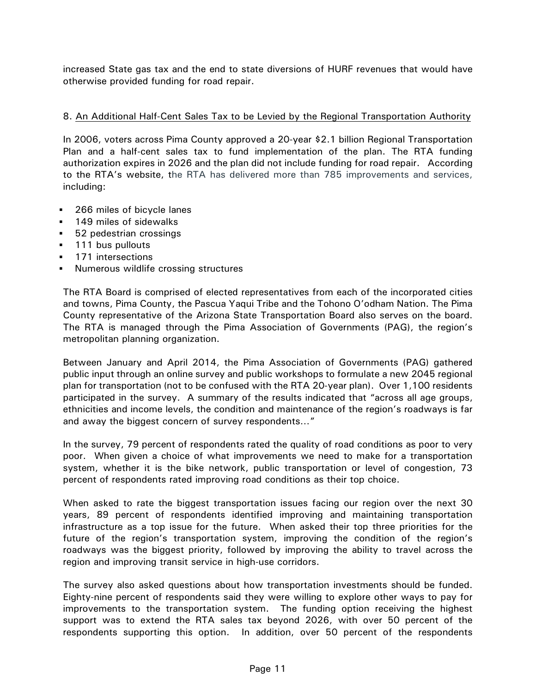increased State gas tax and the end to state diversions of HURF revenues that would have otherwise provided funding for road repair.

### 8. An Additional Half-Cent Sales Tax to be Levied by the Regional Transportation Authority

In 2006, voters across Pima County approved a 20-year \$2.1 billion Regional Transportation Plan and a half-cent sales tax to fund implementation of the plan. The RTA funding authorization expires in 2026 and the plan did not include funding for road repair. According to the RTA's website, the RTA has delivered more than 785 improvements and services, including:

- **266 miles of bicycle lanes**
- **149 miles of sidewalks**
- 52 pedestrian crossings
- **111 bus pullouts**
- 171 intersections
- Numerous wildlife crossing structures

The RTA Board is comprised of elected representatives from each of the incorporated cities and towns, Pima County, the Pascua Yaqui Tribe and the Tohono O'odham Nation. The Pima County representative of the Arizona State Transportation Board also serves on the board. The RTA is managed through the Pima Association of Governments (PAG), the region's metropolitan planning organization.

Between January and April 2014, the Pima Association of Governments (PAG) gathered public input through an online survey and public workshops to formulate a new 2045 regional plan for transportation (not to be confused with the RTA 20-year plan). Over 1,100 residents participated in the survey. A summary of the results indicated that "across all age groups, ethnicities and income levels, the condition and maintenance of the region's roadways is far and away the biggest concern of survey respondents…"

In the survey, 79 percent of respondents rated the quality of road conditions as poor to very poor. When given a choice of what improvements we need to make for a transportation system, whether it is the bike network, public transportation or level of congestion, 73 percent of respondents rated improving road conditions as their top choice.

When asked to rate the biggest transportation issues facing our region over the next 30 years, 89 percent of respondents identified improving and maintaining transportation infrastructure as a top issue for the future. When asked their top three priorities for the future of the region's transportation system, improving the condition of the region's roadways was the biggest priority, followed by improving the ability to travel across the region and improving transit service in high-use corridors.

The survey also asked questions about how transportation investments should be funded. Eighty-nine percent of respondents said they were willing to explore other ways to pay for improvements to the transportation system. The funding option receiving the highest support was to extend the RTA sales tax beyond 2026, with over 50 percent of the respondents supporting this option. In addition, over 50 percent of the respondents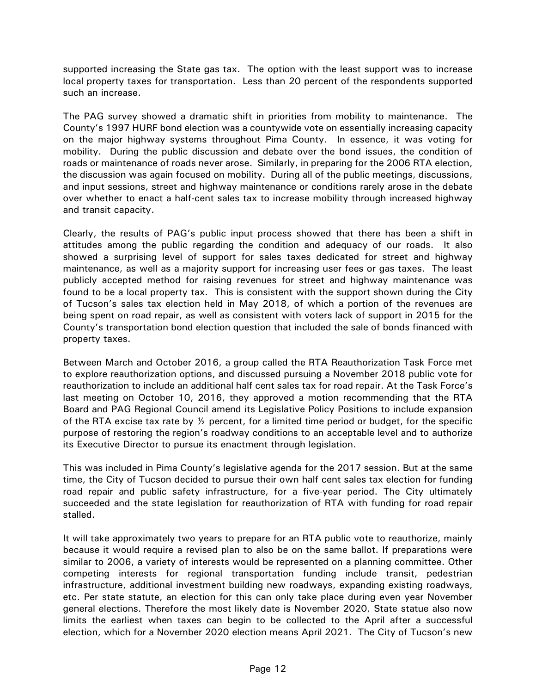supported increasing the State gas tax. The option with the least support was to increase local property taxes for transportation. Less than 20 percent of the respondents supported such an increase.

The PAG survey showed a dramatic shift in priorities from mobility to maintenance. The County's 1997 HURF bond election was a countywide vote on essentially increasing capacity on the major highway systems throughout Pima County. In essence, it was voting for mobility. During the public discussion and debate over the bond issues, the condition of roads or maintenance of roads never arose. Similarly, in preparing for the 2006 RTA election, the discussion was again focused on mobility. During all of the public meetings, discussions, and input sessions, street and highway maintenance or conditions rarely arose in the debate over whether to enact a half-cent sales tax to increase mobility through increased highway and transit capacity.

Clearly, the results of PAG's public input process showed that there has been a shift in attitudes among the public regarding the condition and adequacy of our roads. It also showed a surprising level of support for sales taxes dedicated for street and highway maintenance, as well as a majority support for increasing user fees or gas taxes. The least publicly accepted method for raising revenues for street and highway maintenance was found to be a local property tax. This is consistent with the support shown during the City of Tucson's sales tax election held in May 2018, of which a portion of the revenues are being spent on road repair, as well as consistent with voters lack of support in 2015 for the County's transportation bond election question that included the sale of bonds financed with property taxes.

Between March and October 2016, a group called the RTA Reauthorization Task Force met to explore reauthorization options, and discussed pursuing a November 2018 public vote for reauthorization to include an additional half cent sales tax for road repair. At the Task Force's last meeting on October 10, 2016, they approved a motion recommending that the RTA Board and PAG Regional Council amend its Legislative Policy Positions to include expansion of the RTA excise tax rate by  $\frac{1}{2}$  percent, for a limited time period or budget, for the specific purpose of restoring the region's roadway conditions to an acceptable level and to authorize its Executive Director to pursue its enactment through legislation.

This was included in Pima County's legislative agenda for the 2017 session. But at the same time, the City of Tucson decided to pursue their own half cent sales tax election for funding road repair and public safety infrastructure, for a five-year period. The City ultimately succeeded and the state legislation for reauthorization of RTA with funding for road repair stalled.

It will take approximately two years to prepare for an RTA public vote to reauthorize, mainly because it would require a revised plan to also be on the same ballot. If preparations were similar to 2006, a variety of interests would be represented on a planning committee. Other competing interests for regional transportation funding include transit, pedestrian infrastructure, additional investment building new roadways, expanding existing roadways, etc. Per state statute, an election for this can only take place during even year November general elections. Therefore the most likely date is November 2020. State statue also now limits the earliest when taxes can begin to be collected to the April after a successful election, which for a November 2020 election means April 2021. The City of Tucson's new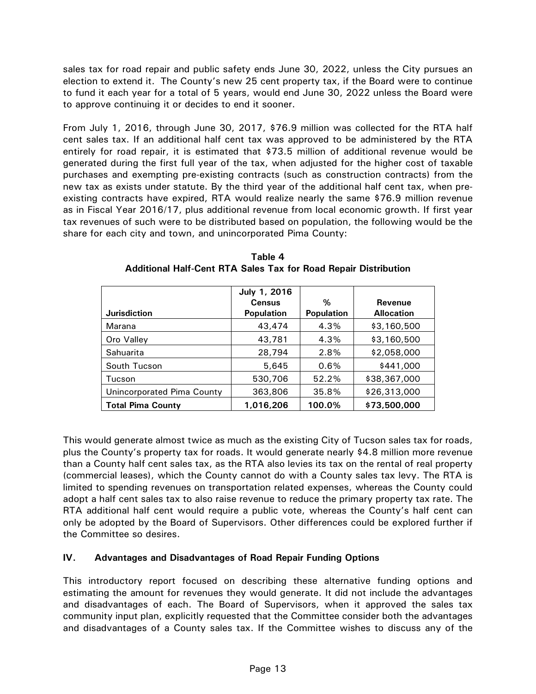sales tax for road repair and public safety ends June 30, 2022, unless the City pursues an election to extend it. The County's new 25 cent property tax, if the Board were to continue to fund it each year for a total of 5 years, would end June 30, 2022 unless the Board were to approve continuing it or decides to end it sooner.

From July 1, 2016, through June 30, 2017, \$76.9 million was collected for the RTA half cent sales tax. If an additional half cent tax was approved to be administered by the RTA entirely for road repair, it is estimated that \$73.5 million of additional revenue would be generated during the first full year of the tax, when adjusted for the higher cost of taxable purchases and exempting pre-existing contracts (such as construction contracts) from the new tax as exists under statute. By the third year of the additional half cent tax, when preexisting contracts have expired, RTA would realize nearly the same \$76.9 million revenue as in Fiscal Year 2016/17, plus additional revenue from local economic growth. If first year tax revenues of such were to be distributed based on population, the following would be the share for each city and town, and unincorporated Pima County:

|                            | July 1, 2016      |                   |                   |
|----------------------------|-------------------|-------------------|-------------------|
|                            | <b>Census</b>     | %                 | <b>Revenue</b>    |
| <b>Jurisdiction</b>        | <b>Population</b> | <b>Population</b> | <b>Allocation</b> |
| Marana                     | 43,474            | 4.3%              | \$3,160,500       |
| Oro Valley                 | 43,781            | 4.3%              | \$3,160,500       |
| Sahuarita                  | 28,794            | 2.8%              | \$2,058,000       |
| South Tucson               | 5,645             | 0.6%              | \$441,000         |
| Tucson                     | 530,706           | 52.2%             | \$38,367,000      |
| Unincorporated Pima County | 363,806           | 35.8%             | \$26,313,000      |
| <b>Total Pima County</b>   | 1,016,206         | 100.0%            | \$73,500,000      |

**Table 4 Additional Half-Cent RTA Sales Tax for Road Repair Distribution** 

This would generate almost twice as much as the existing City of Tucson sales tax for roads, plus the County's property tax for roads. It would generate nearly \$4.8 million more revenue than a County half cent sales tax, as the RTA also levies its tax on the rental of real property (commercial leases), which the County cannot do with a County sales tax levy. The RTA is limited to spending revenues on transportation related expenses, whereas the County could adopt a half cent sales tax to also raise revenue to reduce the primary property tax rate. The RTA additional half cent would require a public vote, whereas the County's half cent can only be adopted by the Board of Supervisors. Other differences could be explored further if the Committee so desires.

# **IV. Advantages and Disadvantages of Road Repair Funding Options**

This introductory report focused on describing these alternative funding options and estimating the amount for revenues they would generate. It did not include the advantages and disadvantages of each. The Board of Supervisors, when it approved the sales tax community input plan, explicitly requested that the Committee consider both the advantages and disadvantages of a County sales tax. If the Committee wishes to discuss any of the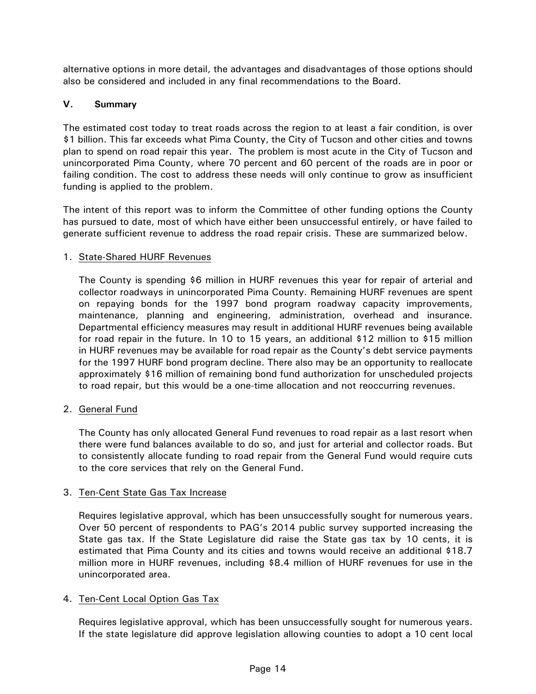alternative options in more detail, the advantages and disadvantages of those options should also be considered and included in any final recommendations to the Board.

# **V. Summary**

The estimated cost today to treat roads across the region to at least a fair condition, is over \$1 billion. This far exceeds what Pima County, the City of Tucson and other cities and towns plan to spend on road repair this year. The problem is most acute in the City of Tucson and unincorporated Pima County, where 70 percent and 60 percent of the roads are in poor or failing condition. The cost to address these needs will only continue to grow as insufficient funding is applied to the problem.

The intent of this report was to inform the Committee of other funding options the County has pursued to date, most of which have either been unsuccessful entirely, or have failed to generate sufficient revenue to address the road repair crisis. These are summarized below.

#### 1. State-Shared HURF Revenues

The County is spending \$6 million in HURF revenues this year for repair of arterial and collector roadways in unincorporated Pima County. Remaining HURF revenues are spent on repaying bonds for the 1997 bond program roadway capacity improvements, maintenance, planning and engineering, administration, overhead and insurance. Departmental efficiency measures may result in additional HURF revenues being available for road repair in the future. In 10 to 15 years, an additional \$12 million to \$15 million in HURF revenues may be available for road repair as the County's debt service payments for the 1997 HURF bond program decline. There also may be an opportunity to reallocate approximately \$16 million of remaining bond fund authorization for unscheduled projects to road repair, but this would be a one-time allocation and not reoccurring revenues.

2. General Fund

The County has only allocated General Fund revenues to road repair as a last resort when there were fund balances available to do so, and just for arterial and collector roads. But to consistently allocate funding to road repair from the General Fund would require cuts to the core services that rely on the General Fund.

# 3. Ten-Cent State Gas Tax Increase

Requires legislative approval, which has been unsuccessfully sought for numerous years. Over 50 percent of respondents to PAG's 2014 public survey supported increasing the State gas tax. If the State Legislature did raise the State gas tax by 10 cents, it is estimated that Pima County and its cities and towns would receive an additional \$18.7 million more in HURF revenues, including \$8.4 million of HURF revenues for use in the unincorporated area.

# 4. Ten-Cent Local Option Gas Tax

Requires legislative approval, which has been unsuccessfully sought for numerous years. If the state legislature did approve legislation allowing counties to adopt a 10 cent local